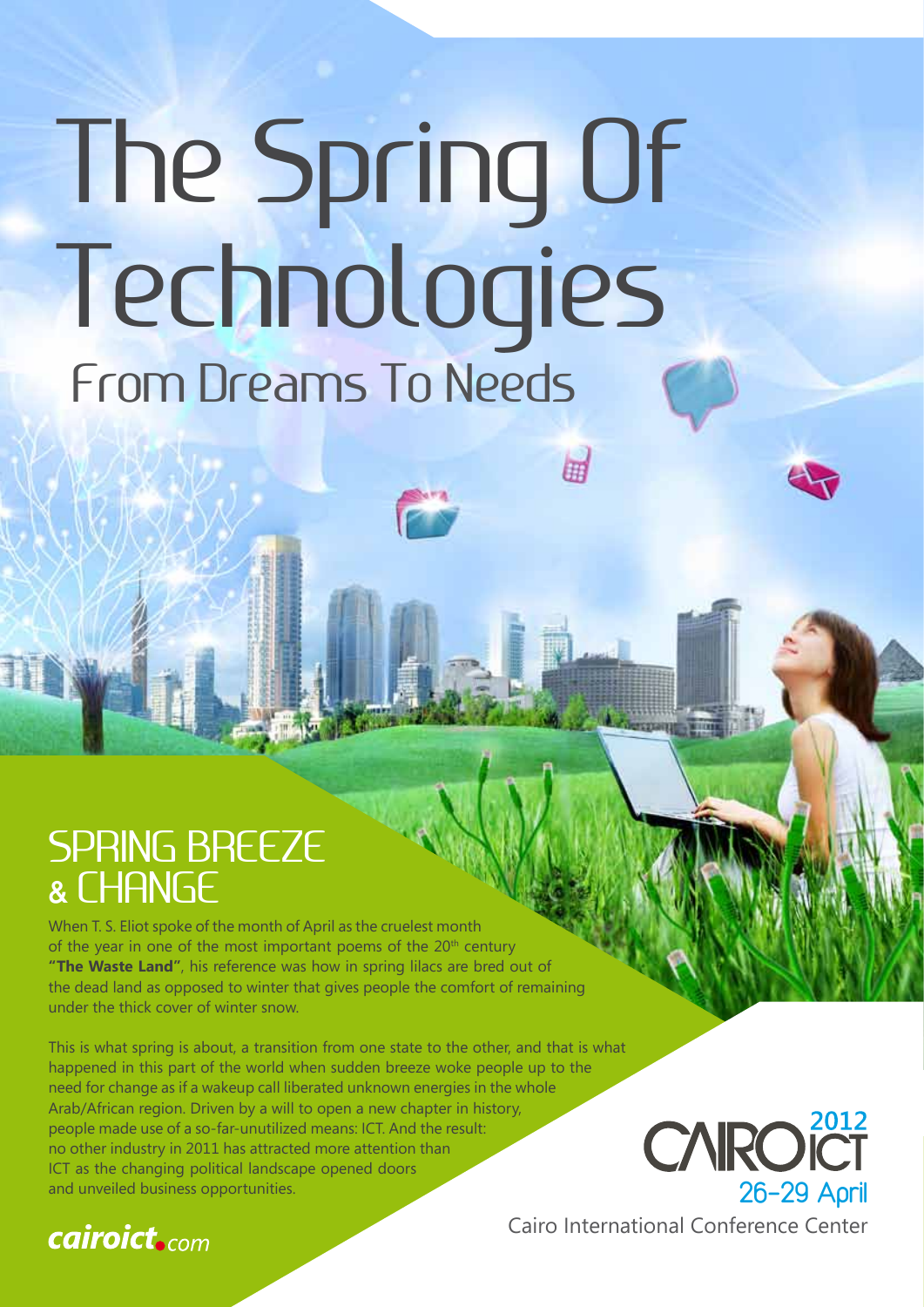# The Spring Of Technologies From Dreams To Needs

田

### SPRING BREEZE & CHANGE

When T. S. Eliot spoke of the month of April as the cruelest month of the year in one of the most important poems of the  $20<sup>th</sup>$  century **"The Waste Land"**, his reference was how in spring lilacs are bred out of the dead land as opposed to winter that gives people the comfort of remaining under the thick cover of winter snow.

This is what spring is about, a transition from one state to the other, and that is what happened in this part of the world when sudden breeze woke people up to the need for change as if a wakeup call liberated unknown energies in the whole Arab/African region. Driven by a will to open a new chapter in history, people made use of a so-far-unutilized means: ICT. And the result: no other industry in 2011 has attracted more attention than ICT as the changing political landscape opened doors and unveiled business opportunities.



Cairo International Conference Center

### **cairoict.com**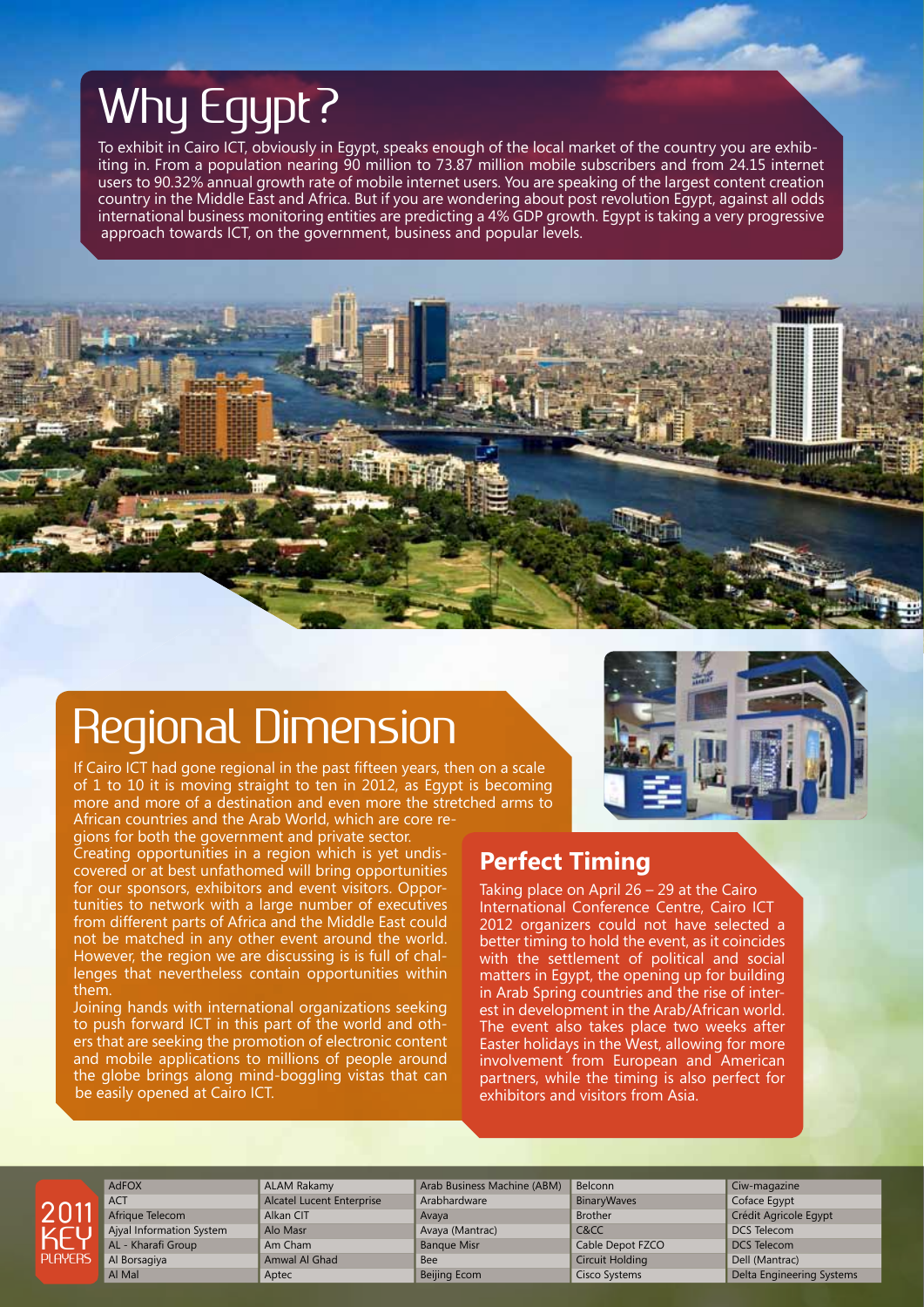# Why Egypt?

To exhibit in Cairo ICT, obviously in Egypt, speaks enough of the local market of the country you are exhibiting in. From a population nearing 90 million to 73.87 million mobile subscribers and from 24.15 internet users to 90.32% annual growth rate of mobile internet users. You are speaking of the largest content creation country in the Middle East and Africa. But if you are wondering about post revolution Egypt, against all odds international business monitoring entities are predicting a 4% GDP growth. Egypt is taking a very progressive approach towards ICT, on the government, business and popular levels.



# Regional Dimension

If Cairo ICT had gone regional in the past fifteen years, then on a scale of 1 to 10 it is moving straight to ten in 2012, as Egypt is becoming more and more of a destination and even more the stretched arms to African countries and the Arab World, which are core re-

gions for both the government and private sector. Creating opportunities in a region which is yet undiscovered or at best unfathomed will bring opportunities for our sponsors, exhibitors and event visitors. Opportunities to network with a large number of executives from different parts of Africa and the Middle East could not be matched in any other event around the world. However, the region we are discussing is is full of challenges that nevertheless contain opportunities within them.

Joining hands with international organizations seeking to push forward ICT in this part of the world and others that are seeking the promotion of electronic content and mobile applications to millions of people around the globe brings along mind-boggling vistas that can be easily opened at Cairo ICT.

### **Perfect Timing**

Taking place on April 26 – 29 at the Cairo International Conference Centre, Cairo ICT 2012 organizers could not have selected a better timing to hold the event, as it coincides with the settlement of political and social matters in Egypt, the opening up for building in Arab Spring countries and the rise of interest in development in the Arab/African world. The event also takes place two weeks after Easter holidays in the West, allowing for more involvement from European and American partners, while the timing is also perfect for exhibitors and visitors from Asia.



AdFOX **ACT** Afrique Telecom Ajyal Information System AL - Kharafi Group Al Borsagiya Al Mal

ALAM Rakamy Alcatel Lucent Enterprise Alkan CIT Alo Masr Am Cham Amwal Al Ghad Aptec

Arab Business Machine (ABM) Arabhardware Avaya Avaya (Mantrac) Banque Misr Bee Beijing Ecom

Belconn **BinaryWaves** Brother C&CC Cable Depot FZCO Circuit Holding Cisco Systems

Ciw-magazine Coface Egypt Crédit Agricole Egypt DCS Telecom DCS Telecom Dell (Mantrac) Delta Engineering Systems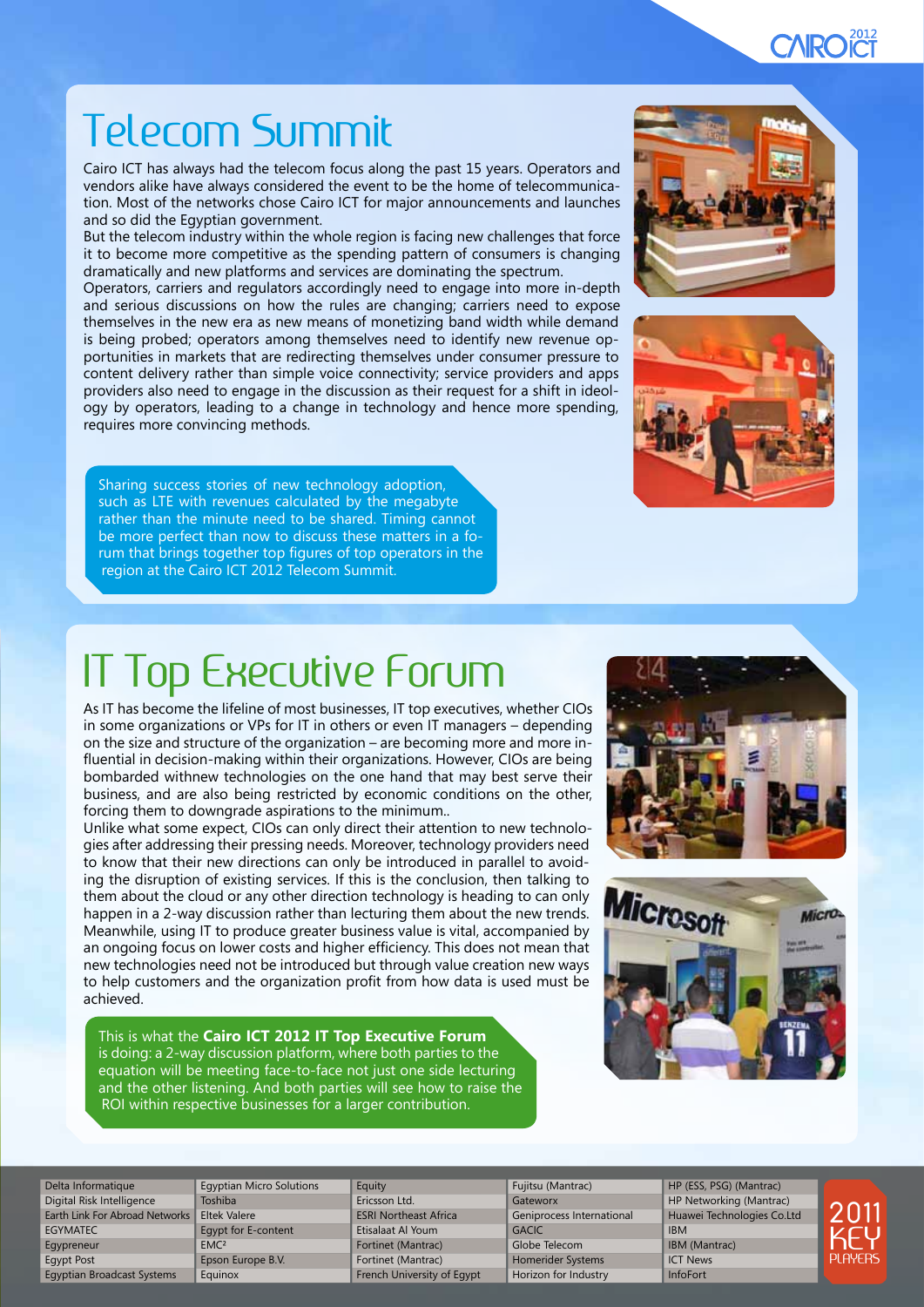### **CAROCT**

# Telecom Summit

Cairo ICT has always had the telecom focus along the past 15 years. Operators and vendors alike have always considered the event to be the home of telecommunication. Most of the networks chose Cairo ICT for major announcements and launches and so did the Egyptian government.

But the telecom industry within the whole region is facing new challenges that force it to become more competitive as the spending pattern of consumers is changing dramatically and new platforms and services are dominating the spectrum.

Operators, carriers and regulators accordingly need to engage into more in-depth and serious discussions on how the rules are changing; carriers need to expose themselves in the new era as new means of monetizing band width while demand is being probed; operators among themselves need to identify new revenue opportunities in markets that are redirecting themselves under consumer pressure to content delivery rather than simple voice connectivity; service providers and apps providers also need to engage in the discussion as their request for a shift in ideology by operators, leading to a change in technology and hence more spending, requires more convincing methods.

Sharing success stories of new technology adoption, such as LTE with revenues calculated by the megabyte rather than the minute need to be shared. Timing cannot be more perfect than now to discuss these matters in a forum that brings together top figures of top operators in the region at the Cairo ICT 2012 Telecom Summit.





# IT Top Executive Forum

As IT has become the lifeline of most businesses, IT top executives, whether CIOs in some organizations or VPs for IT in others or even IT managers – depending on the size and structure of the organization – are becoming more and more influential in decision-making within their organizations. However, CIOs are being bombarded withnew technologies on the one hand that may best serve their business, and are also being restricted by economic conditions on the other, forcing them to downgrade aspirations to the minimum..

Unlike what some expect, CIOs can only direct their attention to new technologies after addressing their pressing needs. Moreover, technology providers need to know that their new directions can only be introduced in parallel to avoiding the disruption of existing services. If this is the conclusion, then talking to them about the cloud or any other direction technology is heading to can only happen in a 2-way discussion rather than lecturing them about the new trends. Meanwhile, using IT to produce greater business value is vital, accompanied by an ongoing focus on lower costs and higher efficiency. This does not mean that new technologies need not be introduced but through value creation new ways to help customers and the organization profit from how data is used must be achieved.

This is what the **Cairo ICT 2012 IT Top Executive Forum** is doing: a 2-way discussion platform, where both parties to the equation will be meeting face-to-face not just one side lecturing and the other listening. And both parties will see how to raise the ROI within respective businesses for a larger contribution.





Delta Informatique Digital Risk Intelligence Earth Link For Abroad Networks EGYMATEC Egypreneur Egypt Post Egyptian Broadcast Systems

Egyptian Micro Solutions Toshiba Eltek Valere Egypt for E-content EMC<sub>2</sub> Epson Europe B.V. Equinox

**Equity** Ericsson Ltd. ESRI Northeast Africa Etisalaat Al Youm Fortinet (Mantrac) Fortinet (Mantrac) French University of Egypt

Fujitsu (Mantrac) Gateworx Geniprocess International **GACIC** Globe Telecom Homerider Systems Horizon for Industry

HP (ESS, PSG) (Mantrac) HP Networking (Mantrac) Huawei Technologies Co.Ltd IBM IBM (Mantrac) ICT News

InfoFort

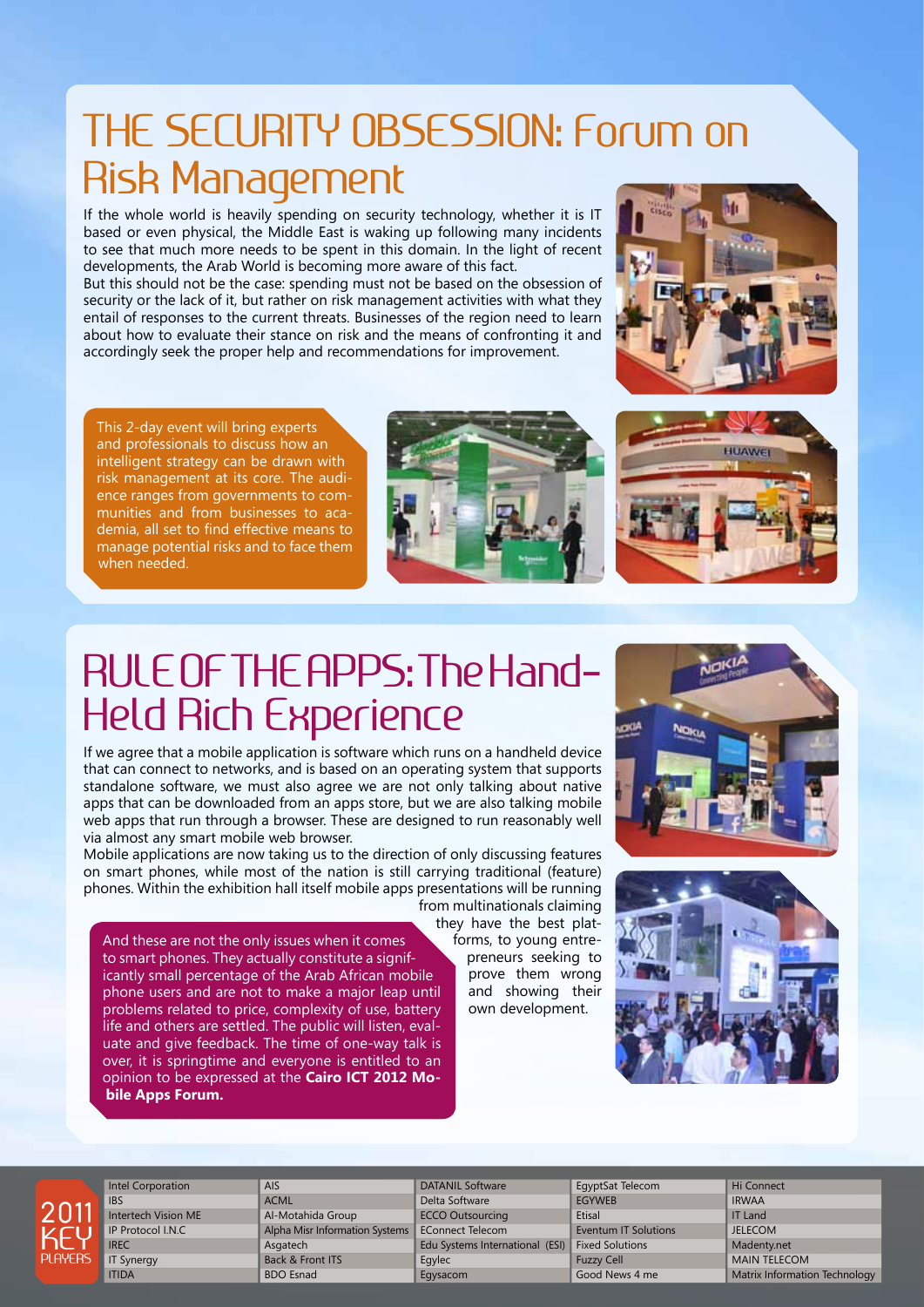## THE SECURITY OBSESSION: Forum on Risk Management

If the whole world is heavily spending on security technology, whether it is IT based or even physical, the Middle East is waking up following many incidents to see that much more needs to be spent in this domain. In the light of recent developments, the Arab World is becoming more aware of this fact.

But this should not be the case: spending must not be based on the obsession of security or the lack of it, but rather on risk management activities with what they entail of responses to the current threats. Businesses of the region need to learn about how to evaluate their stance on risk and the means of confronting it and accordingly seek the proper help and recommendations for improvement.



This 2-day event will bring experts and professionals to discuss how an intelligent strategy can be drawn with risk management at its core. The audience ranges from governments to communities and from businesses to academia, all set to find effective means to manage potential risks and to face them when needed.





## RULE OF THE APPS: The Hand-Held Rich Experience

If we agree that a mobile application is software which runs on a handheld device that can connect to networks, and is based on an operating system that supports standalone software, we must also agree we are not only talking about native apps that can be downloaded from an apps store, but we are also talking mobile web apps that run through a browser. These are designed to run reasonably well via almost any smart mobile web browser.

Mobile applications are now taking us to the direction of only discussing features on smart phones, while most of the nation is still carrying traditional (feature) phones. Within the exhibition hall itself mobile apps presentations will be running

And these are not the only issues when it comes to smart phones. They actually constitute a significantly small percentage of the Arab African mobile phone users and are not to make a major leap until problems related to price, complexity of use, battery life and others are settled. The public will listen, evaluate and give feedback. The time of one-way talk is over, it is springtime and everyone is entitled to an opinion to be expressed at the **Cairo ICT 2012 Mobile Apps Forum.**

from multinationals claiming they have the best platforms, to young entrepreneurs seeking to prove them wrong and showing their own development.







Intel Corporation **IBS** Intertech Vision ME IP Protocol I.N.C IREC IT Synergy ITIDA

**AIS ACML** Al-Motahida Group Alpha Misr Information Systems **Asgatech** Back & Front ITS BDO Esnad

DATANIL Software Delta Software ECCO Outsourcing EConnect Telecom Edu Systems International (ESI) Egylec Egysacom

EgyptSat Telecom **EGYWER Etisal** Eventum IT Solutions Fixed Solutions Fuzzy Cell Good News 4 me

Hi Connect IRWAA IT Land JELECOM Madenty.net MAIN TELECOM Matrix Information Technology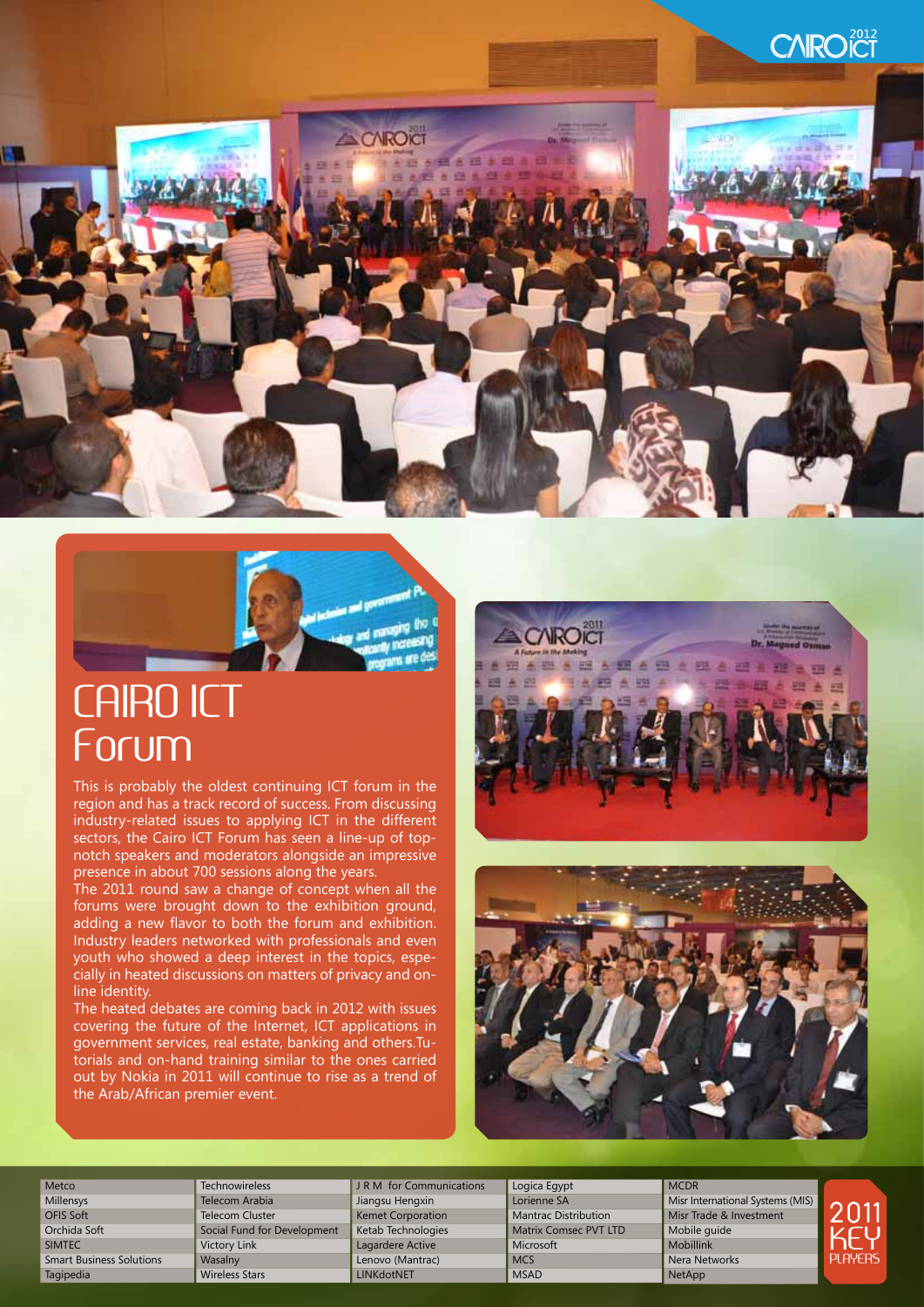



## CAIRO ICT Forum

This is probably the oldest continuing ICT forum in the region and has a track record of success. From discussing industry-related issues to applying ICT in the different sectors, the Cairo ICT Forum has seen a line-up of topnotch speakers and moderators alongside an impressive presence in about 700 sessions along the years.

The 2011 round saw a change of concept when all the forums were brought down to the exhibition ground, adding a new flavor to both the forum and exhibition. Industry leaders networked with professionals and even youth who showed a deep interest in the topics, especially in heated discussions on matters of privacy and online identity.

The heated debates are coming back in 2012 with issues covering the future of the Internet, ICT applications in government services, real estate, banking and others.Tutorials and on-hand training similar to the ones carried out by Nokia in 2011 will continue to rise as a trend of the Arab/African premier event.





**MCDR** 

**Metco** Millensys OFIS Soft Orchida Soft SIMTEC Smart Business Solutions Tagipedia

**Technowireless** Telecom Arabia Telecom Cluster Social Fund for Development Victory Link **Wasalny** Wireless Stars

J R M for Communications Jiangsu Hengxin Kemet Corporation Ketab Technologies Lagardere Active Lenovo (Mantrac) LINKdotNET

Logica Egypt Lorienne SA Mantrac Distribution Matrix Comsec PVT LTD Microsoft **MCS MSAD** 

Misr International Systems (MIS) Misr Trade & Investment Mobile guide Mobillink Nera Networks NetApp

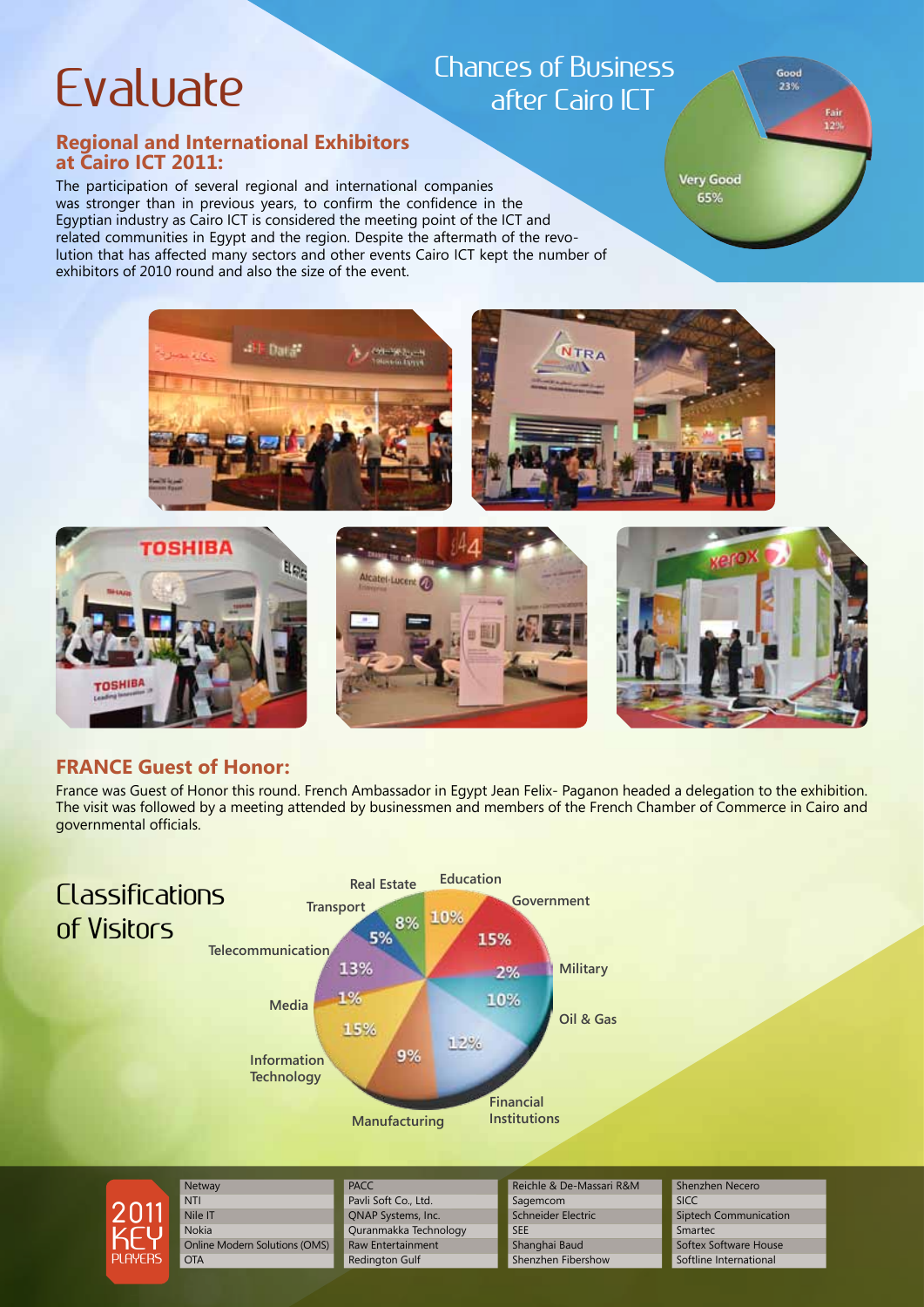# Evaluate

### Chances of Business after Cairo ICT

#### **Regional and International Exhibitors at Cairo ICT 2011:**

The participation of several regional and international companies was stronger than in previous years, to confirm the confidence in the Egyptian industry as Cairo ICT is considered the meeting point of the ICT and related communities in Egypt and the region. Despite the aftermath of the revolution that has affected many sectors and other events Cairo ICT kept the number of exhibitors of 2010 round and also the size of the event.

**Very Good** 65%

Good  $2200$ 

> Fair 12%



### **FRANCE Guest of Honor:**

France was Guest of Honor this round. French Ambassador in Egypt Jean Felix- Paganon headed a delegation to the exhibition. The visit was followed by a meeting attended by businessmen and members of the French Chamber of Commerce in Cairo and governmental officials.





**NTI** Nile IT Nokia Online Modern Solutions (OMS) **OTA** 

**Netway** 

**PACC** Pavli Soft Co., Ltd. QNAP Systems, Inc. Quranmakka Technology Raw Entertainment Redington Gulf

Reichle & De-Massari R&M Sagemcom Schneider Electric **SEE** Shanghai Baud Shenzhen Fibershow

Shenzhen Necero

SICC Siptech Communication Smartec Softex Software House Softline International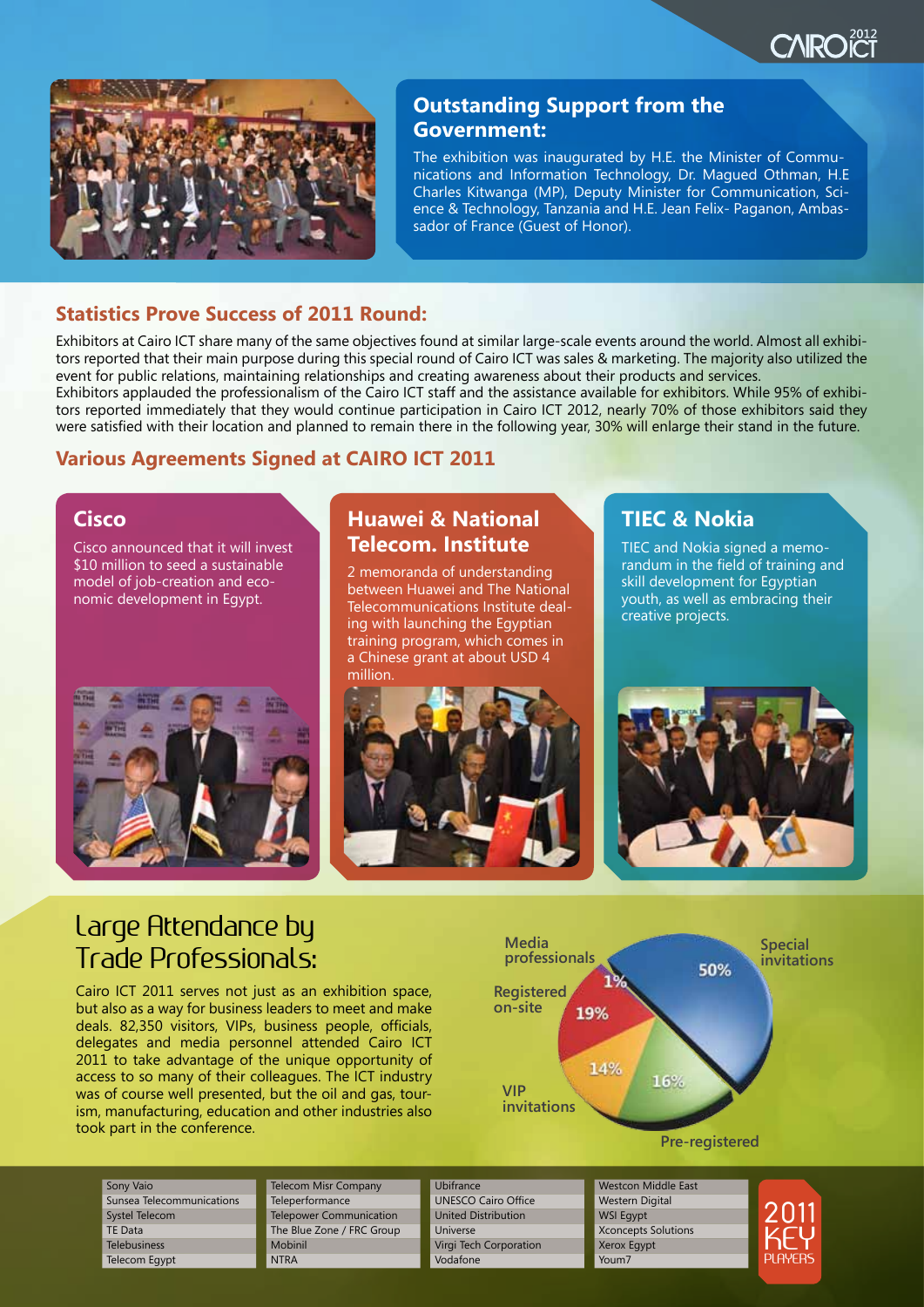



### **Outstanding Support from the Government:**

The exhibition was inaugurated by H.E. the Minister of Communications and Information Technology, Dr. Magued Othman, H.E Charles Kitwanga (MP), Deputy Minister for Communication, Science & Technology, Tanzania and H.E. Jean Felix- Paganon, Ambassador of France (Guest of Honor).

#### **Statistics Prove Success of 2011 Round:**

Exhibitors at Cairo ICT share many of the same objectives found at similar large-scale events around the world. Almost all exhibitors reported that their main purpose during this special round of Cairo ICT was sales & marketing. The majority also utilized the event for public relations, maintaining relationships and creating awareness about their products and services. Exhibitors applauded the professionalism of the Cairo ICT staff and the assistance available for exhibitors. While 95% of exhibitors reported immediately that they would continue participation in Cairo ICT 2012, nearly 70% of those exhibitors said they

were satisfied with their location and planned to remain there in the following year, 30% will enlarge their stand in the future.

#### **Various Agreements Signed at CAIRO ICT 2011**

#### **Cisco**

Cisco announced that it will invest \$10 million to seed a sustainable model of job-creation and economic development in Egypt.



### **Huawei & National Telecom. Institute**

2 memoranda of understanding between Huawei and The National Telecommunications Institute dealing with launching the Egyptian training program, which comes in a Chinese grant at about USD 4 million.



### **TIEC & Nokia**

TIEC and Nokia signed a memorandum in the field of training and skill development for Egyptian youth, as well as embracing their creative projects.



### Large Attendance by Trade Professionals:

Cairo ICT 2011 serves not just as an exhibition space, but also as a way for business leaders to meet and make deals. 82,350 visitors, VIPs, business people, officials, delegates and media personnel attended Cairo ICT 2011 to take advantage of the unique opportunity of access to so many of their colleagues. The ICT industry was of course well presented, but the oil and gas, tourism, manufacturing, education and other industries also took part in the conference.



Sony Vaio Sunsea Telecommunications Systel Telecom TE Data Telebusiness Telecom Egypt

Telecom Misr Company **Teleperformance** Telepower Communication The Blue Zone / FRC Group Mobinil **NTRA** 



Westcon Middle East Western Digital WSI Egypt Xconcepts Solutions

Xerox Egypt Youm7